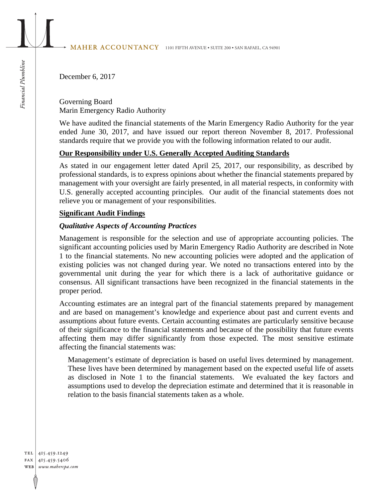# MAHER ACCOUNTANCY 1101 FIFTH AVENUE • SUITE 200 • SAN RAFAEL, CA 94901

December 6, 2017

Governing Board Marin Emergency Radio Authority

We have audited the financial statements of the Marin Emergency Radio Authority for the year ended June 30, 2017, and have issued our report thereon November 8, 2017. Professional standards require that we provide you with the following information related to our audit.

# **Our Responsibility under U.S. Generally Accepted Auditing Standards**

As stated in our engagement letter dated April 25, 2017, our responsibility, as described by professional standards, is to express opinions about whether the financial statements prepared by management with your oversight are fairly presented, in all material respects, in conformity with U.S. generally accepted accounting principles. Our audit of the financial statements does not relieve you or management of your responsibilities.

# **Significant Audit Findings**

# *Qualitative Aspects of Accounting Practices*

Management is responsible for the selection and use of appropriate accounting policies. The significant accounting policies used by Marin Emergency Radio Authority are described in Note 1 to the financial statements. No new accounting policies were adopted and the application of existing policies was not changed during year. We noted no transactions entered into by the governmental unit during the year for which there is a lack of authoritative guidance or consensus. All significant transactions have been recognized in the financial statements in the proper period.

Accounting estimates are an integral part of the financial statements prepared by management and are based on management's knowledge and experience about past and current events and assumptions about future events. Certain accounting estimates are particularly sensitive because of their significance to the financial statements and because of the possibility that future events affecting them may differ significantly from those expected. The most sensitive estimate affecting the financial statements was:

Management's estimate of depreciation is based on useful lives determined by management. These lives have been determined by management based on the expected useful life of assets as disclosed in Note 1 to the financial statements. We evaluated the key factors and assumptions used to develop the depreciation estimate and determined that it is reasonable in relation to the basis financial statements taken as a whole.

TEL 415.459.1249 FAX 415.459.5406 WEB www.mahercpa.com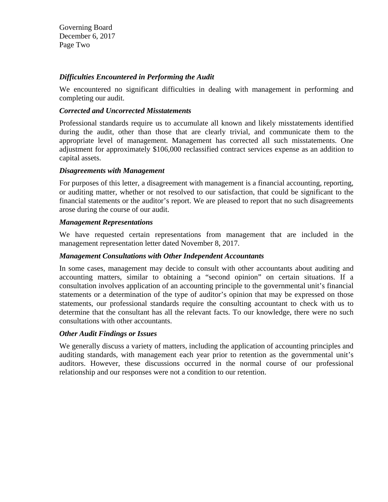Governing Board December 6, 2017 Page Two

# *Difficulties Encountered in Performing the Audit*

We encountered no significant difficulties in dealing with management in performing and completing our audit.

# *Corrected and Uncorrected Misstatements*

Professional standards require us to accumulate all known and likely misstatements identified during the audit, other than those that are clearly trivial, and communicate them to the appropriate level of management. Management has corrected all such misstatements. One adjustment for approximately \$106,000 reclassified contract services expense as an addition to capital assets.

#### *Disagreements with Management*

For purposes of this letter, a disagreement with management is a financial accounting, reporting, or auditing matter, whether or not resolved to our satisfaction, that could be significant to the financial statements or the auditor's report. We are pleased to report that no such disagreements arose during the course of our audit.

# *Management Representations*

We have requested certain representations from management that are included in the management representation letter dated November 8, 2017.

# *Management Consultations with Other Independent Accountants*

In some cases, management may decide to consult with other accountants about auditing and accounting matters, similar to obtaining a "second opinion" on certain situations. If a consultation involves application of an accounting principle to the governmental unit's financial statements or a determination of the type of auditor's opinion that may be expressed on those statements, our professional standards require the consulting accountant to check with us to determine that the consultant has all the relevant facts. To our knowledge, there were no such consultations with other accountants.

# *Other Audit Findings or Issues*

We generally discuss a variety of matters, including the application of accounting principles and auditing standards, with management each year prior to retention as the governmental unit's auditors. However, these discussions occurred in the normal course of our professional relationship and our responses were not a condition to our retention.